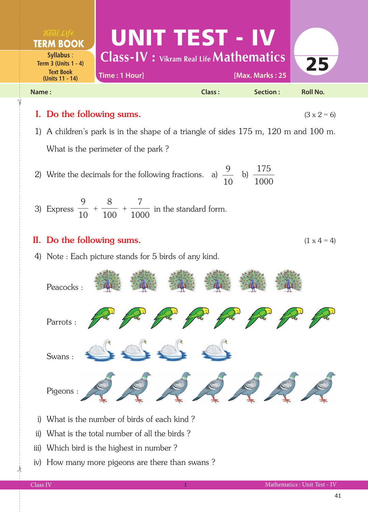

## II. Do the following sums.  $(1 \times 4 = 4)$

4) Note : Each picture stands for 5 birds of any kind.



- i) What is the number of birds of each kind ?
- ii) What is the total number of all the birds ?
- iii) Which bird is the highest in number ?
- iv) How many more pigeons are there than swans ?

 $\frac{1}{2}$